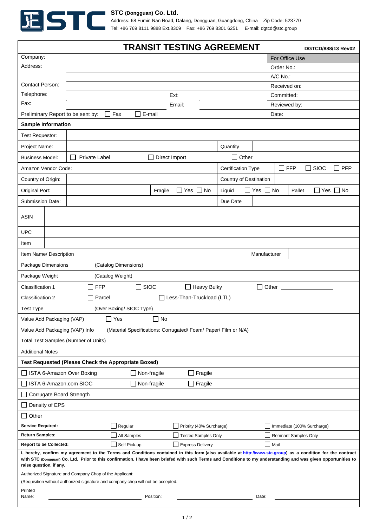

## **STC (Dongguan) Co. Ltd.**

Address: 68 Fumin Nan Road, Dalang, Dongguan, Guangdong, China Zip Code: 523770 Tel: +86 769 8111 9888 Ext.8309 Fax: +86 769 8301 6251 E-mail: dgtcd@stc.group

|                                                                                                                                                                                                                                                         |                  |                                             |                                     |                      |                         |         | TRANSIT TESTING AGREEMENT  |                        |                     |                                                                         |                             |                | DGTCD/888/13 Rev02   |  |
|---------------------------------------------------------------------------------------------------------------------------------------------------------------------------------------------------------------------------------------------------------|------------------|---------------------------------------------|-------------------------------------|----------------------|-------------------------|---------|----------------------------|------------------------|---------------------|-------------------------------------------------------------------------|-----------------------------|----------------|----------------------|--|
| Company:                                                                                                                                                                                                                                                |                  |                                             |                                     |                      |                         |         |                            |                        |                     |                                                                         |                             | For Office Use |                      |  |
| Address:                                                                                                                                                                                                                                                |                  |                                             |                                     |                      |                         |         |                            |                        |                     |                                                                         | Order No.:                  |                |                      |  |
|                                                                                                                                                                                                                                                         |                  |                                             |                                     |                      |                         |         |                            |                        |                     |                                                                         | A/C No.:                    |                |                      |  |
| <b>Contact Person:</b>                                                                                                                                                                                                                                  |                  |                                             |                                     |                      |                         |         |                            |                        |                     |                                                                         | Received on:                |                |                      |  |
| Telephone:                                                                                                                                                                                                                                              |                  |                                             |                                     |                      |                         |         | Ext:                       |                        |                     |                                                                         | Committed:                  |                |                      |  |
| Fax:                                                                                                                                                                                                                                                    |                  |                                             |                                     |                      |                         |         | Email:                     |                        |                     |                                                                         |                             | Reviewed by:   |                      |  |
| Preliminary Report to be sent by:                                                                                                                                                                                                                       |                  |                                             |                                     |                      | $\Box$ Fax<br>$E$ -mail |         |                            |                        |                     |                                                                         | Date:                       |                |                      |  |
| <b>Sample Information</b><br><b>Test Requestor:</b>                                                                                                                                                                                                     |                  |                                             |                                     |                      |                         |         |                            |                        |                     |                                                                         |                             |                |                      |  |
| Project Name:                                                                                                                                                                                                                                           |                  | Quantity                                    |                                     |                      |                         |         |                            |                        |                     |                                                                         |                             |                |                      |  |
| <b>Business Model:</b>                                                                                                                                                                                                                                  |                  | Private Label<br>Direct Import              |                                     |                      |                         |         |                            |                        | $\Box$ Other $\Box$ |                                                                         |                             |                |                      |  |
| Amazon Vendor Code:                                                                                                                                                                                                                                     |                  |                                             |                                     |                      |                         |         |                            |                        |                     | $\square$ FFP<br>$\Box$ SIOC<br>$\Box$ PFP<br><b>Certification Type</b> |                             |                |                      |  |
| Country of Origin:                                                                                                                                                                                                                                      |                  |                                             |                                     |                      |                         |         |                            | Country of Destination |                     |                                                                         |                             |                |                      |  |
| Original Port:                                                                                                                                                                                                                                          |                  |                                             |                                     |                      |                         | Fragile | $\Box$ Yes $\Box$ No       |                        | Liquid              | $\Box$ Yes $\Box$ No                                                    |                             | Pallet         | $\Box$ Yes $\Box$ No |  |
| Submission Date:                                                                                                                                                                                                                                        |                  |                                             |                                     |                      |                         |         |                            |                        | Due Date            |                                                                         |                             |                |                      |  |
| <b>ASIN</b>                                                                                                                                                                                                                                             |                  |                                             |                                     |                      |                         |         |                            |                        |                     |                                                                         |                             |                |                      |  |
| <b>UPC</b>                                                                                                                                                                                                                                              |                  |                                             |                                     |                      |                         |         |                            |                        |                     |                                                                         |                             |                |                      |  |
| Item                                                                                                                                                                                                                                                    |                  |                                             |                                     |                      |                         |         |                            |                        |                     |                                                                         |                             |                |                      |  |
| Item Name/ Description                                                                                                                                                                                                                                  |                  |                                             |                                     |                      |                         |         |                            |                        | Manufacturer        |                                                                         |                             |                |                      |  |
| Package Dimensions                                                                                                                                                                                                                                      |                  |                                             |                                     | (Catalog Dimensions) |                         |         |                            |                        |                     |                                                                         |                             |                |                      |  |
| Package Weight                                                                                                                                                                                                                                          | (Catalog Weight) |                                             |                                     |                      |                         |         |                            |                        |                     |                                                                         |                             |                |                      |  |
| Classification 1                                                                                                                                                                                                                                        |                  | <b>FFP</b><br>$\square$ SIOC<br>Heavy Bulky |                                     |                      |                         |         |                            |                        |                     | $\Box$ Other $\Box$                                                     |                             |                |                      |  |
| <b>Classification 2</b>                                                                                                                                                                                                                                 |                  |                                             | Parcel<br>Less-Than-Truckload (LTL) |                      |                         |         |                            |                        |                     |                                                                         |                             |                |                      |  |
| <b>Test Type</b><br>(Over Boxing/ SIOC Type)                                                                                                                                                                                                            |                  |                                             |                                     |                      |                         |         |                            |                        |                     |                                                                         |                             |                |                      |  |
| Value Add Packaging (VAP)                                                                                                                                                                                                                               |                  |                                             |                                     | ப                    | Yes                     | No      |                            |                        |                     |                                                                         |                             |                |                      |  |
| Value Add Packaging (VAP) Info<br>(Material Specifications: Corrugated/Foam/Paper/Film or N/A)                                                                                                                                                          |                  |                                             |                                     |                      |                         |         |                            |                        |                     |                                                                         |                             |                |                      |  |
| Total Test Samples (Number of Units)                                                                                                                                                                                                                    |                  |                                             |                                     |                      |                         |         |                            |                        |                     |                                                                         |                             |                |                      |  |
| <b>Additional Notes</b>                                                                                                                                                                                                                                 |                  |                                             |                                     |                      |                         |         |                            |                        |                     |                                                                         |                             |                |                      |  |
| <b>Test Requested (Please Check the Appropriate Boxed)</b>                                                                                                                                                                                              |                  |                                             |                                     |                      |                         |         |                            |                        |                     |                                                                         |                             |                |                      |  |
| ISTA 6-Amazon Over Boxing<br>$\Box$ Non-fragile<br>Fragile                                                                                                                                                                                              |                  |                                             |                                     |                      |                         |         |                            |                        |                     |                                                                         |                             |                |                      |  |
| STA 6-Amazon.com SIOC<br>$\Box$ Non-fragile<br>$\Box$ Fragile                                                                                                                                                                                           |                  |                                             |                                     |                      |                         |         |                            |                        |                     |                                                                         |                             |                |                      |  |
| Corrugate Board Strength                                                                                                                                                                                                                                |                  |                                             |                                     |                      |                         |         |                            |                        |                     |                                                                         |                             |                |                      |  |
| Density of EPS                                                                                                                                                                                                                                          |                  |                                             |                                     |                      |                         |         |                            |                        |                     |                                                                         |                             |                |                      |  |
| $\Box$ Other                                                                                                                                                                                                                                            |                  |                                             |                                     |                      |                         |         |                            |                        |                     |                                                                         |                             |                |                      |  |
| <b>Service Required:</b>                                                                                                                                                                                                                                |                  |                                             | Regular<br>$\mathbf{I}$             |                      |                         |         | Priority (40% Surcharge)   |                        |                     |                                                                         | Immediate (100% Surcharge)  |                |                      |  |
| <b>Return Samples:</b>                                                                                                                                                                                                                                  |                  |                                             | All Samples                         |                      |                         |         | <b>Tested Samples Only</b> |                        |                     |                                                                         | <b>Remnant Samples Only</b> |                |                      |  |
| <b>Report to be Collected:</b><br>Self Pick-up<br>$\Box$ Mail<br><b>Express Delivery</b><br>I, hereby, confirm my agreement to the Terms and Conditions contained in this form (also available at http://www.stc.group) as a condition for the contract |                  |                                             |                                     |                      |                         |         |                            |                        |                     |                                                                         |                             |                |                      |  |
| with STC (Dongguan) Co. Ltd. Prior to this confirmation, I have been briefed with such Terms and Conditions to my understanding and was given opportunities to<br>raise question, if any.                                                               |                  |                                             |                                     |                      |                         |         |                            |                        |                     |                                                                         |                             |                |                      |  |
| Authorized Signature and Company Chop of the Applicant:<br>(Requisition without authorized signature and company chop will not be accepted.                                                                                                             |                  |                                             |                                     |                      |                         |         |                            |                        |                     |                                                                         |                             |                |                      |  |
| Printed                                                                                                                                                                                                                                                 |                  |                                             |                                     |                      |                         |         |                            |                        |                     |                                                                         |                             |                |                      |  |
| Position:<br>Date:<br>Name:                                                                                                                                                                                                                             |                  |                                             |                                     |                      |                         |         |                            |                        |                     |                                                                         |                             |                |                      |  |